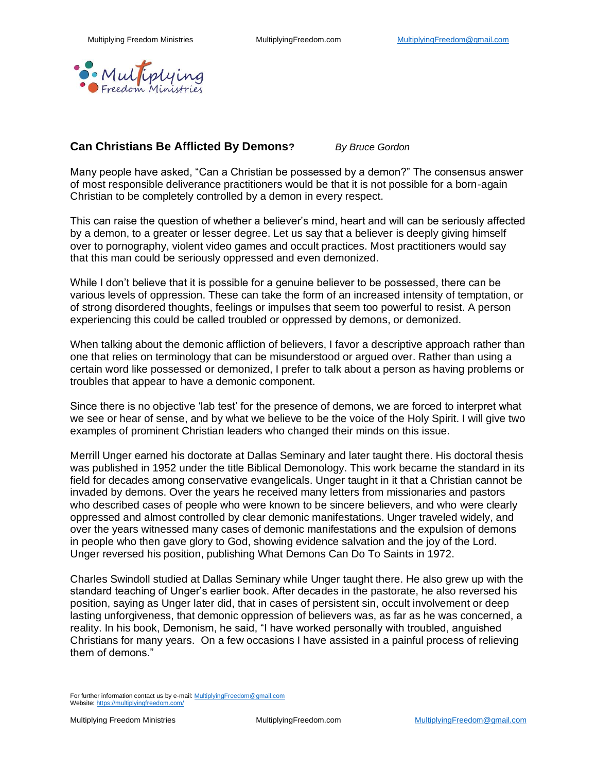

## **Can Christians Be Afflicted By Demons?** *By Bruce Gordon*

Many people have asked, "Can a Christian be possessed by a demon?" The consensus answer of most responsible deliverance practitioners would be that it is not possible for a born-again Christian to be completely controlled by a demon in every respect.

This can raise the question of whether a believer's mind, heart and will can be seriously affected by a demon, to a greater or lesser degree. Let us say that a believer is deeply giving himself over to pornography, violent video games and occult practices. Most practitioners would say that this man could be seriously oppressed and even demonized.

While I don't believe that it is possible for a genuine believer to be possessed, there can be various levels of oppression. These can take the form of an increased intensity of temptation, or of strong disordered thoughts, feelings or impulses that seem too powerful to resist. A person experiencing this could be called troubled or oppressed by demons, or demonized.

When talking about the demonic affliction of believers, I favor a descriptive approach rather than one that relies on terminology that can be misunderstood or argued over. Rather than using a certain word like possessed or demonized, I prefer to talk about a person as having problems or troubles that appear to have a demonic component.

Since there is no objective 'lab test' for the presence of demons, we are forced to interpret what we see or hear of sense, and by what we believe to be the voice of the Holy Spirit. I will give two examples of prominent Christian leaders who changed their minds on this issue.

Merrill Unger earned his doctorate at Dallas Seminary and later taught there. His doctoral thesis was published in 1952 under the title Biblical Demonology. This work became the standard in its field for decades among conservative evangelicals. Unger taught in it that a Christian cannot be invaded by demons. Over the years he received many letters from missionaries and pastors who described cases of people who were known to be sincere believers, and who were clearly oppressed and almost controlled by clear demonic manifestations. Unger traveled widely, and over the years witnessed many cases of demonic manifestations and the expulsion of demons in people who then gave glory to God, showing evidence salvation and the joy of the Lord. Unger reversed his position, publishing What Demons Can Do To Saints in 1972.

Charles Swindoll studied at Dallas Seminary while Unger taught there. He also grew up with the standard teaching of Unger's earlier book. After decades in the pastorate, he also reversed his position, saying as Unger later did, that in cases of persistent sin, occult involvement or deep lasting unforgiveness, that demonic oppression of believers was, as far as he was concerned, a reality. In his book, Demonism, he said, "I have worked personally with troubled, anguished Christians for many years. On a few occasions I have assisted in a painful process of relieving them of demons."

For further information contact us by e-mail[: MultiplyingFreedom@gmail.com](mailto:MultiplyingFreedom@gmail.com) Website[: https://multiplyingfreedom.com/](https://multiplyingfreedom.com/)